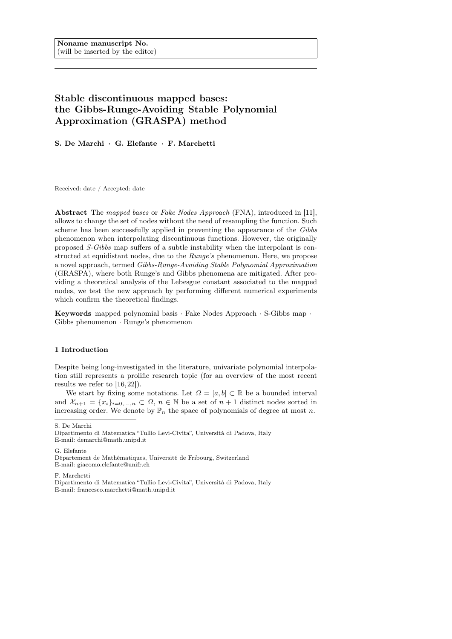# Stable discontinuous mapped bases: the Gibbs-Runge-Avoiding Stable Polynomial Approximation (GRASPA) method

S. De Marchi · G. Elefante · F. Marchetti

Received: date / Accepted: date

Abstract The mapped bases or Fake Nodes Approach (FNA), introduced in [11], allows to change the set of nodes without the need of resampling the function. Such scheme has been successfully applied in preventing the appearance of the Gibbs phenomenon when interpolating discontinuous functions. However, the originally proposed S-Gibbs map suffers of a subtle instability when the interpolant is constructed at equidistant nodes, due to the Runge's phenomenon. Here, we propose a novel approach, termed Gibbs-Runge-Avoiding Stable Polynomial Approximation (GRASPA), where both Runge's and Gibbs phenomena are mitigated. After providing a theoretical analysis of the Lebesgue constant associated to the mapped nodes, we test the new approach by performing different numerical experiments which confirm the theoretical findings.

Keywords mapped polynomial basis · Fake Nodes Approach · S-Gibbs map · Gibbs phenomenon · Runge's phenomenon

## 1 Introduction

Despite being long-investigated in the literature, univariate polynomial interpolation still represents a prolific research topic (for an overview of the most recent results we refer to [16, 22]).

We start by fixing some notations. Let  $\Omega = [a, b] \subset \mathbb{R}$  be a bounded interval and  $\mathcal{X}_{n+1} = \{x_i\}_{i=0,\ldots,n} \subset \Omega, n \in \mathbb{N}$  be a set of  $n+1$  distinct nodes sorted in increasing order. We denote by  $\mathbb{P}_n$  the space of polynomials of degree at most n.

S. De Marchi

G. Elefante

F. Marchetti

Dipartimento di Matematica "Tullio Levi-Civita", Università di Padova, Italy E-mail: demarchi@math.unipd.it

Département de Mathématiques, Université de Fribourg, Switzerland E-mail: giacomo.elefante@unifr.ch

Dipartimento di Matematica "Tullio Levi-Civita", Università di Padova, Italy E-mail: francesco.marchetti@math.unipd.it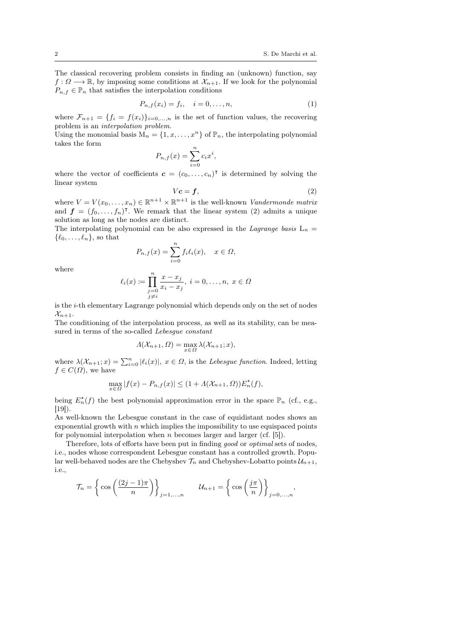The classical recovering problem consists in finding an (unknown) function, say  $f: \Omega \longrightarrow \mathbb{R}$ , by imposing some conditions at  $\mathcal{X}_{n+1}$ . If we look for the polynomial  $P_{n,f} \in \mathbb{P}_n$  that satisfies the interpolation conditions

$$
P_{n,f}(x_i) = f_i, \quad i = 0,\ldots,n,
$$
\n<sup>(1)</sup>

where  $\mathcal{F}_{n+1} = \{f_i = f(x_i)\}_{i=0,\ldots,n}$  is the set of function values, the recovering problem is an interpolation problem.

Using the monomial basis  $M_n = \{1, x, ..., x^n\}$  of  $\mathbb{P}_n$ , the interpolating polynomial takes the form

$$
P_{n,f}(x) = \sum_{i=0}^{n} c_i x^i,
$$

where the vector of coefficients  $\mathbf{c} = (c_0, \ldots, c_n)^\mathsf{T}$  is determined by solving the linear system

$$
Vc = f,\tag{2}
$$

where  $V = V(x_0, \ldots, x_n) \in \mathbb{R}^{n+1} \times \mathbb{R}^{n+1}$  is the well-known *Vandermonde matrix* and  $f = (f_0, \ldots, f_n)$ <sup>T</sup>. We remark that the linear system (2) admits a unique solution as long as the nodes are distinct.

The interpolating polynomial can be also expressed in the *Lagrange basis*  $L_n$  =  $\{\ell_0, \ldots, \ell_n\}$ , so that

$$
P_{n,f}(x) = \sum_{i=0}^{n} f_i \ell_i(x), \quad x \in \Omega,
$$

where

$$
\ell_i(x) \coloneqq \prod_{\substack{j=0 \ j \neq i}}^n \frac{x - x_j}{x_i - x_j}, \ i = 0, \dots, n, \ x \in \Omega
$$

is the i-th elementary Lagrange polynomial which depends only on the set of nodes  $\mathcal{X}_{n+1}$ .

The conditioning of the interpolation process, as well as its stability, can be measured in terms of the so-called *Lebesgue constant* 

$$
\Lambda(\mathcal{X}_{n+1},\Omega)=\max_{x\in\Omega}\lambda(\mathcal{X}_{n+1};x),
$$

where  $\lambda(\mathcal{X}_{n+1};x) = \sum_{i=0}^{n} |\ell_i(x)|, x \in \Omega$ , is the Lebesgue function. Indeed, letting  $f \in C(\Omega)$ , we have

$$
\max_{x \in \Omega} |f(x) - P_{n,f}(x)| \le (1 + \Lambda(\mathcal{X}_{n+1}, \Omega)) E_n^{\star}(f),
$$

being  $E_n^*(f)$  the best polynomial approximation error in the space  $\mathbb{P}_n$  (cf., e.g., [19]).

As well-known the Lebesgue constant in the case of equidistant nodes shows an exponential growth with  $n$  which implies the impossibility to use equispaced points for polynomial interpolation when  $n$  becomes larger and larger (cf. [5]).

Therefore, lots of efforts have been put in finding good or optimal sets of nodes, i.e., nodes whose correspondent Lebesgue constant has a controlled growth. Popular well-behaved nodes are the Chebyshev  $\mathcal{T}_n$  and Chebyshev-Lobatto points  $\mathcal{U}_{n+1}$ , i.e.,

$$
\mathcal{T}_n = \left\{ \cos \left( \frac{(2j-1)\pi}{n} \right) \right\}_{j=1,...,n} \qquad \mathcal{U}_{n+1} = \left\{ \cos \left( \frac{j\pi}{n} \right) \right\}_{j=0,...,n},
$$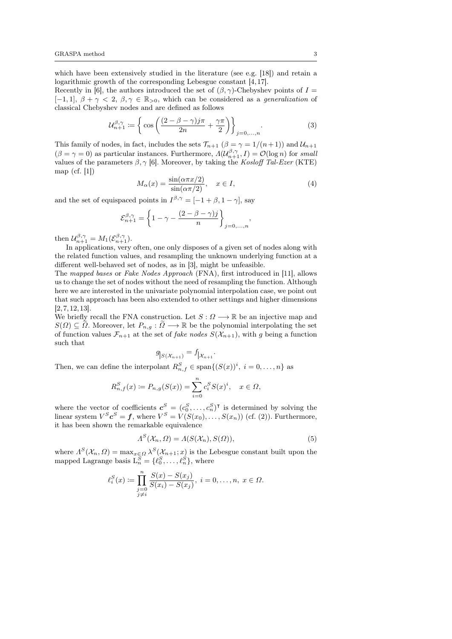which have been extensively studied in the literature (see e.g. [18]) and retain a logarithmic growth of the corresponding Lebesgue constant [4, 17].

Recently in [6], the authors introduced the set of  $(\beta, \gamma)$ -Chebyshev points of  $I =$  $[-1, 1], \beta + \gamma < 2, \beta, \gamma \in \mathbb{R}_{>0}$ , which can be considered as a *generalization* of classical Chebyshev nodes and are defined as follows

$$
\mathcal{U}_{n+1}^{\beta,\gamma} \coloneqq \left\{ \cos \left( \frac{(2-\beta-\gamma)j\pi}{2n} + \frac{\gamma\pi}{2} \right) \right\}_{j=0,\ldots,n}.
$$
\n(3)

This family of nodes, in fact, includes the sets  $\mathcal{T}_{n+1}$   $(\beta = \gamma = 1/(n+1))$  and  $\mathcal{U}_{n+1}$  $(\beta = \gamma = 0)$  as particular instances. Furthermore,  $\Lambda(\mathcal{U}_{n+1}^{\beta,\gamma}, I) = \mathcal{O}(\log n)$  for small values of the parameters  $\beta$ ,  $\gamma$  [6]. Moreover, by taking the Kosloff Tal-Ezer (KTE) map (cf. [1])

$$
M_{\alpha}(x) = \frac{\sin(\alpha \pi x/2)}{\sin(\alpha \pi/2)}, \quad x \in I,
$$
\n(4)

and the set of equispaced points in  $I^{\beta,\gamma} = [-1 + \beta, 1 - \gamma]$ , say

$$
\mathcal{E}_{n+1}^{\beta,\gamma} = \left\{ 1 - \gamma - \frac{(2 - \beta - \gamma)j}{n} \right\}_{j=0,\ldots,n},
$$

then  $\mathcal{U}_{n+1}^{\beta,\gamma} = M_1(\mathcal{E}_{n+1}^{\beta,\gamma}).$ 

In applications, very often, one only disposes of a given set of nodes along with the related function values, and resampling the unknown underlying function at a different well-behaved set of nodes, as in [3], might be unfeasible.

The mapped bases or Fake Nodes Approach (FNA), first introduced in [11], allows us to change the set of nodes without the need of resampling the function. Although here we are interested in the univariate polynomial interpolation case, we point out that such approach has been also extended to other settings and higher dimensions [2, 7, 12, 13].

We briefly recall the FNA construction. Let  $S: \Omega \longrightarrow \mathbb{R}$  be an injective map and  $S(\Omega) \subseteq \tilde{\Omega}$ . Moreover, let  $P_{n,g}: \tilde{\Omega} \longrightarrow \mathbb{R}$  be the polynomial interpolating the set of function values  $\mathcal{F}_{n+1}$  at the set of *fake nodes*  $S(\mathcal{X}_{n+1})$ , with g being a function such that

$$
g_{|S(\mathcal{X}_{n+1})}=f_{|\mathcal{X}_{n+1}}.
$$

Then, we can define the interpolant  $R_{n,f}^S \in \text{span}\{(S(x))^i, i = 0, \ldots, n\}$  as

$$
R_{n,f}^{S}(x) := P_{n,g}(S(x)) = \sum_{i=0}^{n} c_i^{S} S(x)^{i}, \quad x \in \Omega,
$$

where the vector of coefficients  $c^S = (c_0^S, \ldots, c_n^S)^\intercal$  is determined by solving the linear system  $V^S \mathbf{c}^S = \mathbf{f}$ , where  $V^S = V(S(x_0), \ldots, S(x_n))$  (cf. (2)). Furthermore, it has been shown the remarkable equivalence

$$
\Lambda^{S}(\mathcal{X}_{n},\Omega) = \Lambda(S(\mathcal{X}_{n}),S(\Omega)),\tag{5}
$$

where  $A^S(\mathcal{X}_n, \Omega) = \max_{x \in \Omega} \lambda^S(\mathcal{X}_{n+1}; x)$  is the Lebesgue constant built upon the mapped Lagrange basis  $L_n^S = \{\ell_0^S, \ldots, \ell_n^S\}$ , where

$$
\ell_i^S(x) \coloneqq \prod_{\substack{j=0 \\ j \neq i}}^n \frac{S(x) - S(x_j)}{S(x_i) - S(x_j)}, \ i = 0, \dots, n, \ x \in \Omega.
$$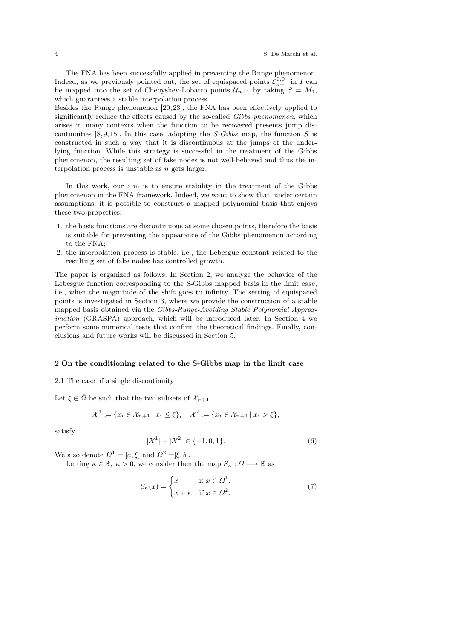The FNA has been successfully applied in preventing the Runge phenomenon. Indeed, as we previously pointed out, the set of equispaced points  $\mathcal{E}_{n+1}^{0,0}$  in I can be mapped into the set of Chebyshev-Lobatto points  $\mathcal{U}_{n+1}$  by taking  $S = M_1$ , which guarantees a stable interpolation process.

Besides the Runge phenomenon [20,23], the FNA has been effectively applied to significantly reduce the effects caused by the so-called Gibbs phenomenon, which arises in many contexts when the function to be recovered presents jump discontinuities  $[8, 9, 15]$ . In this case, adopting the *S-Gibbs* map, the function *S* is constructed in such a way that it is discontinuous at the jumps of the underlying function. While this strategy is successful in the treatment of the Gibbs phenomenon, the resulting set of fake nodes is not well-behaved and thus the interpolation process is unstable as n gets larger.

In this work, our aim is to ensure stability in the treatment of the Gibbs phenomenon in the FNA framework. Indeed, we want to show that, under certain assumptions, it is possible to construct a mapped polynomial basis that enjoys these two properties:

- 1. the basis functions are discontinuous at some chosen points, therefore the basis is suitable for preventing the appearance of the Gibbs phenomenon according to the FNA;
- 2. the interpolation process is stable, i.e., the Lebesgue constant related to the resulting set of fake nodes has controlled growth.

The paper is organized as follows. In Section 2, we analyze the behavior of the Lebesgue function corresponding to the S-Gibbs mapped basis in the limit case, i.e., when the magnitude of the shift goes to infinity. The setting of equispaced points is investigated in Section 3, where we provide the construction of a stable mapped basis obtained via the Gibbs-Runge-Avoiding Stable Polynomial Approximation (GRASPA) approach, which will be introduced later. In Section 4 we perform some numerical tests that confirm the theoretical findings. Finally, conclusions and future works will be discussed in Section 5.

## 2 On the conditioning related to the S-Gibbs map in the limit case

2.1 The case of a single discontinuity

Let  $\xi \in \check{\Omega}$  be such that the two subsets of  $\mathcal{X}_{n+1}$ 

$$
\mathcal{X}^1 := \{ x_i \in \mathcal{X}_{n+1} \mid x_i \le \xi \}, \quad \mathcal{X}^2 := \{ x_i \in \mathcal{X}_{n+1} \mid x_i > \xi \},
$$

satisfy

$$
|\mathcal{X}^1| - |\mathcal{X}^2| \in \{-1, 0, 1\}.
$$
 (6)

We also denote  $\Omega^1 = [a, \xi]$  and  $\Omega^2 = [\xi, b]$ .

Letting  $\kappa \in \mathbb{R}$ ,  $\kappa > 0$ , we consider then the map  $S_{\kappa}: \Omega \longrightarrow \mathbb{R}$  as

$$
S_{\kappa}(x) = \begin{cases} x & \text{if } x \in \Omega^1, \\ x + \kappa & \text{if } x \in \Omega^2. \end{cases}
$$
 (7)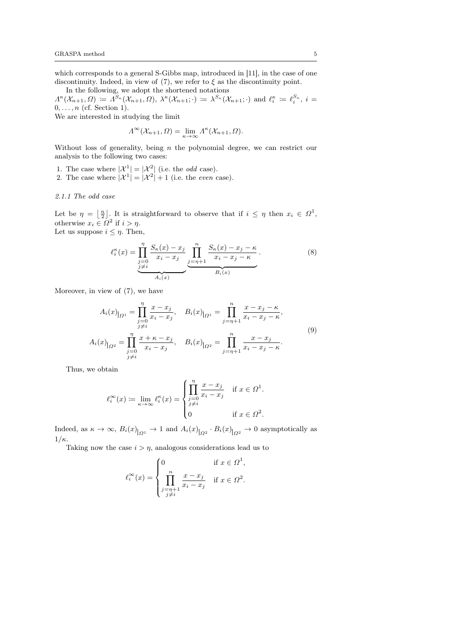which corresponds to a general S-Gibbs map, introduced in [11], in the case of one discontinuity. Indeed, in view of (7), we refer to  $\xi$  as the discontinuity point.

In the following, we adopt the shortened notations  $\Lambda^{\kappa}(\mathcal{X}_{n+1},\Omega) \coloneqq \Lambda^{S_{\kappa}}(\mathcal{X}_{n+1},\Omega), \ \lambda^{\kappa}(\mathcal{X}_{n+1};\cdot) \coloneqq \lambda^{S_{\kappa}}(\mathcal{X}_{n+1};\cdot) \text{ and } \ell_i^{\kappa} \coloneqq \ell_i^{S_{\kappa}}, \ i=1,2,3$  $0, \ldots, n$  (cf. Section 1).

We are interested in studying the limit

$$
\Lambda^{\infty}(\mathcal{X}_{n+1}, \Omega) = \lim_{\kappa \to \infty} \Lambda^{\kappa}(\mathcal{X}_{n+1}, \Omega).
$$

Without loss of generality, being  $n$  the polynomial degree, we can restrict our analysis to the following two cases:

- 1. The case where  $|\mathcal{X}^1| = |\mathcal{X}^2|$  (i.e. the *odd* case).
- 2. The case where  $|\mathcal{X}^1| = |\mathcal{X}^2| + 1$  (i.e. the *even* case).

# 2.1.1 The odd case

Let be  $\eta = \left\lfloor \frac{n}{2} \right\rfloor$ . It is straightforward to observe that if  $i \leq \eta$  then  $x_i \in \Omega^1$ , otherwise  $x_i \in \Omega^2$  if  $i > \eta$ . Let us suppose  $i \leq \eta$ . Then,

$$
\ell_i^{\kappa}(x) = \prod_{\substack{j=0 \ j \neq i}}^{\eta} \frac{S_{\kappa}(x) - x_j}{x_i - x_j} \underbrace{\prod_{j=\eta+1}^n} \frac{S_{\kappa}(x) - x_j - \kappa}{x_i - x_j - \kappa}.
$$
\n
$$
\xrightarrow{A_i(x)} \frac{S_{\kappa}(x) - x_j - \kappa}{B_i(x)}.
$$
\n(8)

Moreover, in view of (7), we have

$$
A_i(x)_{|_{\Omega^1}} = \prod_{\substack{j=0 \ j \neq i}}^{\eta} \frac{x - x_j}{x_i - x_j}, \quad B_i(x)_{|_{\Omega^1}} = \prod_{j=\eta+1}^n \frac{x - x_j - \kappa}{x_i - x_j - \kappa},
$$
  

$$
A_i(x)_{|_{\Omega^2}} = \prod_{\substack{j=0 \ j \neq i}}^{\eta} \frac{x + \kappa - x_j}{x_i - x_j}, \quad B_i(x)_{|_{\Omega^2}} = \prod_{j=\eta+1}^n \frac{x - x_j}{x_i - x_j - \kappa}.
$$

$$
(9)
$$

Thus, we obtain

$$
\ell_i^{\infty}(x) \coloneqq \lim_{\kappa \to \infty} \ell_i^{\kappa}(x) = \begin{cases} \prod_{j=0}^{\eta} \frac{x - x_j}{x_i - x_j} & \text{if } x \in \Omega^1. \\ 0 & \text{if } x \in \Omega^2. \end{cases}
$$

Indeed, as  $\kappa \to \infty$ ,  $B_i(x)_{\vert_{\Omega^1}} \to 1$  and  $A_i(x)_{\vert_{\Omega^2}} \cdot B_i(x)_{\vert_{\Omega^2}} \to 0$  asymptotically as  $1/\kappa$ .

Taking now the case  $i > \eta$ , analogous considerations lead us to

$$
\ell_i^{\infty}(x) = \begin{cases} 0 & \text{if } x \in \Omega^1, \\ \prod_{\substack{j=n+1 \\ j \neq i}}^n \frac{x - x_j}{x_i - x_j} & \text{if } x \in \Omega^2. \end{cases}
$$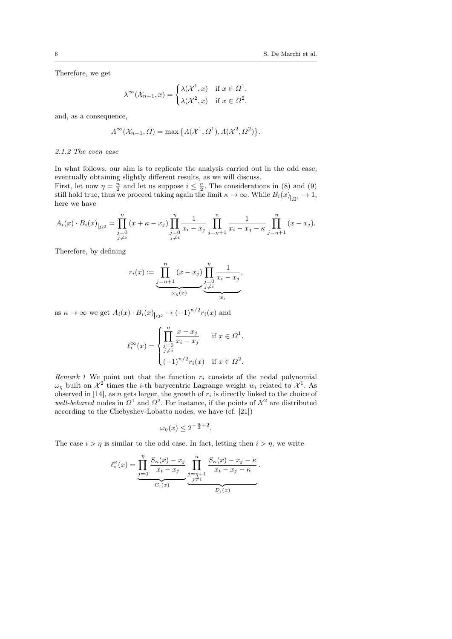Therefore, we get

$$
\lambda^{\infty}(\mathcal{X}_{n+1},x) = \begin{cases} \lambda(\mathcal{X}^1,x) & \text{if } x \in \Omega^1, \\ \lambda(\mathcal{X}^2,x) & \text{if } x \in \Omega^2, \end{cases}
$$

and, as a consequence,

$$
\Lambda^{\infty}(\mathcal{X}_{n+1}, \Omega) = \max \big\{ \Lambda(\mathcal{X}^1, \Omega^1), \Lambda(\mathcal{X}^2, \Omega^2) \big\}.
$$

## 2.1.2 The even case

In what follows, our aim is to replicate the analysis carried out in the odd case, eventually obtaining slightly different results, as we will discuss.

First, let now  $\eta = \frac{n}{2}$  and let us suppose  $i \leq \frac{n}{2}$ . The considerations in (8) and (9) still hold true, thus we proceed taking again the limit  $\kappa \to \infty$ . While  $B_i(x)|_{\Omega^1} \to 1$ , here we have

$$
A_i(x) \cdot B_i(x)|_{\Omega^2} = \prod_{\substack{j=0 \ j \neq i}}^{\eta} (x + \kappa - x_j) \prod_{\substack{j=0 \ j \neq i}}^{\eta} \frac{1}{x_i - x_j} \prod_{j=\eta+1}^{\eta} \frac{1}{x_i - x_j - \kappa} \prod_{j=\eta+1}^{\eta} (x - x_j).
$$

Therefore, by defining

$$
r_i(x) := \underbrace{\prod_{j=\eta+1}^n (x - x_j)}_{\omega_{\eta}(x)} \underbrace{\prod_{j=0}^{\eta} \frac{1}{x_i - x_j}}_{\underbrace{\vdots}_{w_i}},
$$

as  $\kappa \to \infty$  we get  $A_i(x) \cdot B_i(x)|_{\Omega^2} \to (-1)^{n/2} r_i(x)$  and

$$
\ell_i^{\infty}(x) = \begin{cases} \prod_{j=0}^{\eta} \frac{x - x_j}{x_i - x_j} & \text{if } x \in \Omega^1. \\ j \neq i \\ (-1)^{n/2} r_i(x) & \text{if } x \in \Omega^2. \end{cases}
$$

Remark 1 We point out that the function  $r_i$  consists of the nodal polynomial  $\omega_{\eta}$  built on  $\mathcal{X}^2$  times the *i*-th barycentric Lagrange weight  $w_i$  related to  $\mathcal{X}^1$ . As observed in [14], as n gets larger, the growth of  $r_i$  is directly linked to the choice of well-behaved nodes in  $\Omega^1$  and  $\Omega^2$ . For instance, if the points of  $\mathcal{X}^2$  are distributed according to the Chebyshev-Lobatto nodes, we have (cf. [21])

$$
\omega_{\eta}(x) \le 2^{-\frac{n}{2}+2}.
$$

The case  $i > \eta$  is similar to the odd case. In fact, letting then  $i > \eta$ , we write

$$
\ell_i^{\kappa}(x) = \underbrace{\prod_{j=0}^{\eta} \frac{S_{\kappa}(x) - x_j}{x_i - x_j}}_{C_i(x)} \underbrace{\prod_{j=\eta+1}^n \frac{S_{\kappa}(x) - x_j - \kappa}{x_i - x_j - \kappa}}_{D_i(x)}.
$$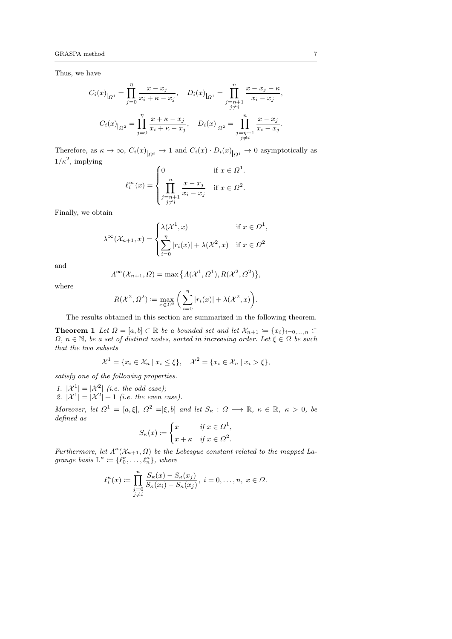Thus, we have

$$
C_i(x)_{|_{\Omega^1}} = \prod_{j=0}^{\eta} \frac{x - x_j}{x_i + \kappa - x_j}, \quad D_i(x)_{|_{\Omega^1}} = \prod_{\substack{j=\eta+1 \\ j \neq i}}^{\eta} \frac{x - x_j - \kappa}{x_i - x_j},
$$

$$
C_i(x)_{|_{\Omega^2}} = \prod_{j=0}^{\eta} \frac{x + \kappa - x_j}{x_i + \kappa - x_j}, \quad D_i(x)_{|_{\Omega^2}} = \prod_{\substack{j=\eta+1 \\ j \neq i}}^{\eta} \frac{x - x_j}{x_i - x_j}.
$$

Therefore, as  $\kappa \to \infty$ ,  $C_i(x)_{|_{\Omega^2}} \to 1$  and  $C_i(x) \cdot D_i(x)_{|_{\Omega^1}} \to 0$  asymptotically as  $1/\kappa^2$ , implying

$$
\ell_i^{\infty}(x) = \begin{cases} 0 & \text{if } x \in \Omega^1. \\ \prod_{\substack{j=n+1 \\ j \neq i}}^n \frac{x - x_j}{x_i - x_j} & \text{if } x \in \Omega^2. \end{cases}
$$

Finally, we obtain

$$
\lambda^{\infty}(\mathcal{X}_{n+1}, x) = \begin{cases} \lambda(\mathcal{X}^1, x) & \text{if } x \in \Omega^1, \\ \sum_{i=0}^{\eta} |r_i(x)| + \lambda(\mathcal{X}^2, x) & \text{if } x \in \Omega^2 \end{cases}
$$

and

$$
\Lambda^{\infty}(\mathcal{X}_{n+1},\Omega)=\max\left\{\Lambda(\mathcal{X}^1,\Omega^1),R(\mathcal{X}^2,\Omega^2)\right\}
$$

,

.

where

$$
R(\mathcal{X}^2, \Omega^2) := \max_{x \in \Omega^2} \left( \sum_{i=0}^{\eta} |r_i(x)| + \lambda(\mathcal{X}^2, x) \right)
$$

The results obtained in this section are summarized in the following theorem.

**Theorem 1** Let  $\Omega = [a, b] \subset \mathbb{R}$  be a bounded set and let  $\mathcal{X}_{n+1} := \{x_i\}_{i=0,\ldots,n}$  $\Omega, n \in \mathbb{N}$ , be a set of distinct nodes, sorted in increasing order. Let  $\xi \in \Omega$  be such that the two subsets

$$
\mathcal{X}^1 = \{x_i \in \mathcal{X}_n \mid x_i \le \xi\}, \quad \mathcal{X}^2 = \{x_i \in \mathcal{X}_n \mid x_i > \xi\},
$$

satisfy one of the following properties.

- 1.  $|\mathcal{X}^1| = |\mathcal{X}^2|$  (i.e. the odd case);
- 2.  $|\mathcal{X}^1| = |\mathcal{X}^2| + 1$  (i.e. the even case).

Moreover, let  $\Omega^1 = [a, \xi], \Omega^2 = [\xi, b]$  and let  $S_{\kappa} : \Omega \longrightarrow \mathbb{R}, \kappa \in \mathbb{R}, \kappa > 0, b \in \mathbb{R}$ defined as  $\overline{a}$ 

$$
S_{\kappa}(x) \coloneqq \begin{cases} x & \text{if } x \in \Omega^1, \\ x + \kappa & \text{if } x \in \Omega^2. \end{cases}
$$

Furthermore, let  $\Lambda^{\kappa}(\mathcal{X}_{n+1}, \Omega)$  be the Lebesgue constant related to the mapped Lagrange basis  $L^{\kappa} \coloneqq \{\ell_0^{\kappa}, \ldots, \ell_n^{\kappa}\},\$  where

$$
\ell_i^{\kappa}(x) \coloneqq \prod_{\substack{j=0 \ j \neq i}}^n \frac{S_{\kappa}(x) - S_{\kappa}(x_j)}{S_{\kappa}(x_i) - S_{\kappa}(x_j)}, \ i = 0, \dots, n, \ x \in \Omega.
$$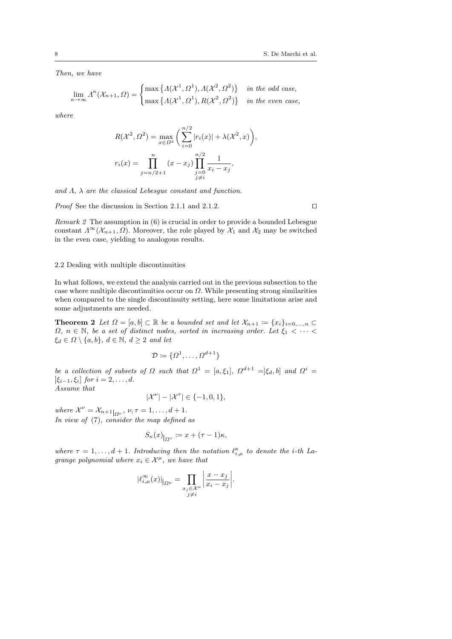Then, we have

$$
\lim_{\kappa \to \infty} \Lambda^{\kappa}(\mathcal{X}_{n+1}, \Omega) = \begin{cases} \max \left\{ \Lambda(\mathcal{X}^1, \Omega^1), \Lambda(\mathcal{X}^2, \Omega^2) \right\} & \text{in the odd case,} \\ \max \left\{ \Lambda(\mathcal{X}^1, \Omega^1), R(\mathcal{X}^2, \Omega^2) \right\} & \text{in the even case,} \end{cases}
$$

where

$$
R(\mathcal{X}^2, \Omega^2) = \max_{x \in \Omega^2} \left( \sum_{i=0}^{n/2} |r_i(x)| + \lambda(\mathcal{X}^2, x) \right),
$$
  

$$
r_i(x) = \prod_{j=n/2+1}^n (x - x_j) \prod_{\substack{j=0 \ j \neq i}}^{n/2} \frac{1}{x_i - x_j},
$$

and  $\Lambda$ ,  $\lambda$  are the classical Lebesgue constant and function.

*Proof* See the discussion in Section 2.1.1 and 2.1.2.  $\Box$ 

Remark 2 The assumption in (6) is crucial in order to provide a bounded Lebesgue constant  $\Lambda^{\infty}(\mathcal{X}_{n+1}, \Omega)$ . Moreover, the role played by  $\mathcal{X}_1$  and  $\mathcal{X}_2$  may be switched in the even case, yielding to analogous results.

## 2.2 Dealing with multiple discontinuities

In what follows, we extend the analysis carried out in the previous subsection to the case where multiple discontinuities occur on  $\Omega$ . While presenting strong similarities when compared to the single discontinuity setting, here some limitations arise and some adjustments are needed.

**Theorem 2** Let  $\Omega = [a, b] \subset \mathbb{R}$  be a bounded set and let  $\mathcal{X}_{n+1} := \{x_i\}_{i=0,\ldots,n}$  $\Omega$ ,  $n \in \mathbb{N}$ , be a set of distinct nodes, sorted in increasing order. Let  $\xi_1 < \cdots < \xi_n$  $\xi_d \in \Omega \setminus \{a, b\}, d \in \mathbb{N}, d \geq 2$  and let

$$
\mathcal{D} \coloneqq \{\Omega^1, \dots, \Omega^{d+1}\}
$$

be a collection of subsets of  $\Omega$  such that  $\Omega^1 = [a, \xi_1], \Omega^{d+1} = [\xi_d, b]$  and  $\Omega^i =$  $[\xi_{i-1}, \xi_i]$  for  $i = 2, ..., d$ .

Assume that

$$
|\mathcal{X}^{\nu}| - |\mathcal{X}^{\tau}| \in \{-1, 0, 1\},\
$$

where  $\mathcal{X}^{\nu} = \mathcal{X}_{n+1|_{\Omega^{\nu}}}, \nu, \tau = 1, \ldots, d+1.$ In view of  $(7)$ , consider the map defined as

$$
S_{\kappa}(x)_{|_{\Omega^{\tau}}} \coloneqq x + (\tau - 1)\kappa,
$$

where  $\tau = 1, \ldots, d+1$ . Introducing then the notation  $\ell_{i,\mu}^{\kappa}$  to denote the *i*-th Lagrange polynomial where  $x_i \in \mathcal{X}^{\mu}$ , we have that

$$
\left|\ell_{i,\mu}^{\infty}(x)\right|_{\Omega^{\mu}} = \prod_{\substack{x_j \in \mathcal{X}^{\mu} \\ j \neq i}} \left|\frac{x - x_j}{x_i - x_j}\right|.
$$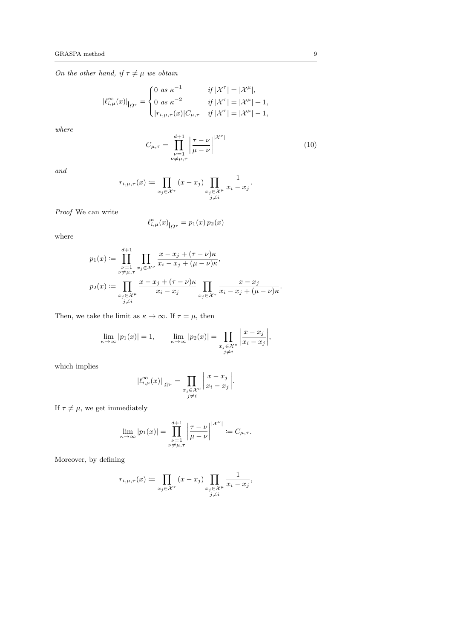On the other hand, if  $\tau \neq \mu$  we obtain

$$
|\ell^{\infty}_{i,\mu}(x)|_{\Omega^{\tau}} = \begin{cases} 0 & \text{as } \kappa^{-1} & \text{if } |\mathcal{X}^{\tau}| = |\mathcal{X}^{\mu}|, \\ 0 & \text{as } \kappa^{-2} & \text{if } |\mathcal{X}^{\tau}| = |\mathcal{X}^{\mu}| + 1, \\ |r_{i,\mu,\tau}(x)|C_{\mu,\tau} & \text{if } |\mathcal{X}^{\tau}| = |\mathcal{X}^{\mu}| - 1, \end{cases}
$$

where

$$
C_{\mu,\tau} = \prod_{\substack{\nu=1\\ \nu \neq \mu,\tau}}^{\mu+1} \left| \frac{\tau - \nu}{\mu - \nu} \right|^{|\mathcal{X}^{\nu}|} \tag{10}
$$

and

$$
r_{i,\mu,\tau}(x) := \prod_{x_j \in \mathcal{X}^{\tau}} (x - x_j) \prod_{\substack{x_j \in \mathcal{X}^{\mu} \\ j \neq i}} \frac{1}{x_i - x_j}.
$$

Proof We can write

$$
\ell_{i,\mu}^{\kappa}(x)_{|_{\Omega^{\tau}}} = p_1(x) \, p_2(x)
$$

where

$$
p_1(x) := \prod_{\substack{\nu=1 \ \nu \neq \mu,\tau}}^{d+1} \prod_{x_j \in \mathcal{X}^\nu} \frac{x - x_j + (\tau - \nu)\kappa}{x_i - x_j + (\mu - \nu)\kappa},
$$
  

$$
p_2(x) := \prod_{\substack{x_j \in \mathcal{X}^\mu \ j \neq i}} \frac{x - x_j + (\tau - \nu)\kappa}{x_i - x_j} \prod_{x_j \in \mathcal{X}^\tau} \frac{x - x_j}{x_i - x_j + (\mu - \nu)\kappa}.
$$

Then, we take the limit as  $\kappa \to \infty$ . If  $\tau = \mu$ , then

$$
\lim_{\kappa \to \infty} |p_1(x)| = 1, \qquad \lim_{\kappa \to \infty} |p_2(x)| = \prod_{\substack{x_j \in \mathcal{X}^\mu \\ j \neq i}} \left| \frac{x - x_j}{x_i - x_j} \right|,
$$

which implies

$$
\left|\ell_{i,\mu}^{\infty}(x)\right|_{\Omega^{\mu}} = \prod_{\substack{x_j \in \mathcal{X}^{\mu} \\ j \neq i}} \left|\frac{x - x_j}{x_i - x_j}\right|.
$$

If  $\tau \neq \mu$ , we get immediately

$$
\lim_{\kappa \to \infty} |p_1(x)| = \prod_{\substack{\nu=1 \\ \nu \neq \mu,\tau}}^{d+1} \left| \frac{\tau - \nu}{\mu - \nu} \right|^{|\mathcal{X}^{\nu}|} := C_{\mu,\tau}.
$$

Moreover, by defining

$$
r_{i,\mu,\tau}(x) \coloneqq \prod_{x_j \in \mathcal{X}^{\tau}} (x - x_j) \prod_{\substack{x_j \in \mathcal{X}^{\mu} \\ j \neq i}} \frac{1}{x_i - x_j},
$$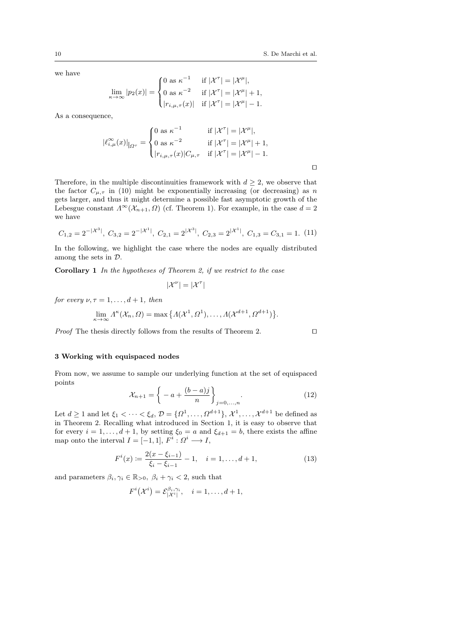we have

$$
\lim_{\kappa \to \infty} |p_2(x)| = \begin{cases} 0 \text{ as } \kappa^{-1} & \text{if } |\mathcal{X}^\tau| = |\mathcal{X}^\mu|, \\ 0 \text{ as } \kappa^{-2} & \text{if } |\mathcal{X}^\tau| = |\mathcal{X}^\mu| + 1, \\ |r_{i,\mu,\tau}(x)| & \text{if } |\mathcal{X}^\tau| = |\mathcal{X}^\mu| - 1. \end{cases}
$$

As a consequence,

$$
|\ell_{i,\mu}^{\infty}(x)|_{|_{\Omega^{\tau}}} = \begin{cases} 0 \text{ as } \kappa^{-1} & \text{if } |\mathcal{X}^{\tau}| = |\mathcal{X}^{\mu}|, \\ 0 \text{ as } \kappa^{-2} & \text{if } |\mathcal{X}^{\tau}| = |\mathcal{X}^{\mu}| + 1, \\ |r_{i,\mu,\tau}(x)|C_{\mu,\tau} & \text{if } |\mathcal{X}^{\tau}| = |\mathcal{X}^{\mu}| - 1. \end{cases}
$$

Therefore, in the multiple discontinuities framework with  $d \geq 2$ , we observe that the factor  $C_{\mu,\tau}$  in (10) might be exponentially increasing (or decreasing) as n gets larger, and thus it might determine a possible fast asymptotic growth of the Lebesgue constant  $\Lambda^{\infty}(\mathcal{X}_{n+1}, \Omega)$  (cf. Theorem 1). For example, in the case  $d = 2$ we have

$$
C_{1,2} = 2^{-|\mathcal{X}^3|}
$$
,  $C_{3,2} = 2^{-|\mathcal{X}^1|}$ ,  $C_{2,1} = 2^{|\mathcal{X}^3|}$ ,  $C_{2,3} = 2^{|\mathcal{X}^1|}$ ,  $C_{1,3} = C_{3,1} = 1$ . (11)

In the following, we highlight the case where the nodes are equally distributed among the sets in D.

Corollary 1 In the hypotheses of Theorem 2, if we restrict to the case

$$
|\mathcal{X}^{\nu}|=|\mathcal{X}^{\tau}|
$$

for every  $\nu, \tau = 1, \ldots, d + 1$ , then

$$
\lim_{\kappa \to \infty} \Lambda^{\kappa}(\mathcal{X}_n, \Omega) = \max \big\{ \Lambda(\mathcal{X}^1, \Omega^1), \dots, \Lambda(\mathcal{X}^{d+1}, \Omega^{d+1}) \big\}.
$$

*Proof* The thesis directly follows from the results of Theorem 2.  $\Box$ 

### 3 Working with equispaced nodes

From now, we assume to sample our underlying function at the set of equispaced points

$$
\mathcal{X}_{n+1} = \left\{ -a + \frac{(b-a)j}{n} \right\}_{j=0,...,n}.
$$
 (12)

Let  $d \geq 1$  and let  $\xi_1 < \cdots < \xi_d$ ,  $\mathcal{D} = \{\Omega^1, \ldots, \Omega^{d+1}\}, \mathcal{X}^1, \ldots, \mathcal{X}^{d+1}$  be defined as in Theorem 2. Recalling what introduced in Section 1, it is easy to observe that for every  $i = 1, \ldots, d + 1$ , by setting  $\xi_0 = a$  and  $\xi_{d+1} = b$ , there exists the affine map onto the interval  $I = [-1, 1], F^i : \Omega^i \longrightarrow I$ ,

$$
F^{i}(x) := \frac{2(x - \xi_{i-1})}{\xi_{i} - \xi_{i-1}} - 1, \quad i = 1, ..., d + 1,
$$
\n(13)

and parameters  $\beta_i, \gamma_i \in \mathbb{R}_{>0}, \ \beta_i + \gamma_i < 2$ , such that

$$
F^i(\mathcal{X}^i) = \mathcal{E}^{\beta_i, \gamma_i}_{|\mathcal{X}^i|}, \quad i = 1, \dots, d+1,
$$

 $\Box$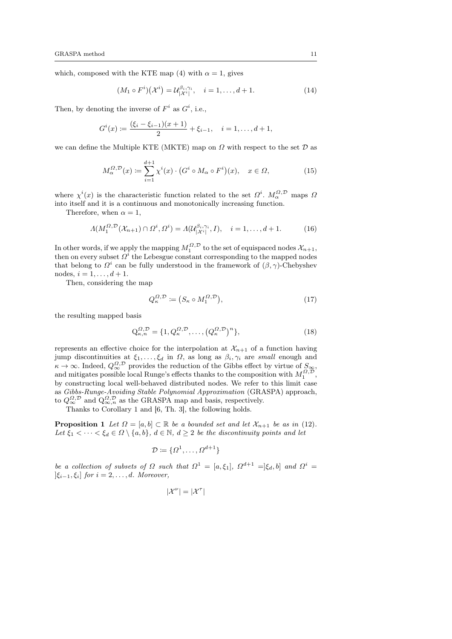which, composed with the KTE map (4) with  $\alpha = 1$ , gives

$$
(M_1 \circ F^i)(\mathcal{X}^i) = \mathcal{U}_{|\mathcal{X}^i|}^{\beta_i, \gamma_i}, \quad i = 1, \dots, d+1.
$$
 (14)

Then, by denoting the inverse of  $F^i$  as  $G^i$ , i.e.,

$$
G^{i}(x) \coloneqq \frac{(\xi_{i} - \xi_{i-1})(x+1)}{2} + \xi_{i-1}, \quad i = 1, \dots, d+1,
$$

we can define the Multiple KTE (MKTE) map on  $\Omega$  with respect to the set  $\mathcal D$  as

$$
M_{\alpha}^{\Omega,\mathcal{D}}(x) \coloneqq \sum_{i=1}^{d+1} \chi^i(x) \cdot \left( G^i \circ M_{\alpha} \circ F^i \right)(x), \quad x \in \Omega,\tag{15}
$$

where  $\chi^{i}(x)$  is the characteristic function related to the set  $\Omega^{i}$ .  $M_{\alpha}^{\Omega,\mathcal{D}}$  maps  $\Omega$ into itself and it is a continuous and monotonically increasing function.

Therefore, when  $\alpha = 1$ ,

$$
\Lambda(M_1^{\Omega,\mathcal{D}}(\mathcal{X}_{n+1}) \cap \Omega^i, \Omega^i) = \Lambda(\mathcal{U}_{|\mathcal{X}^i|}^{\beta_i, \gamma_i}, I), \quad i = 1, \dots, d+1.
$$
 (16)

In other words, if we apply the mapping  $M_1^{\Omega, \mathcal{D}}$  to the set of equispaced nodes  $\mathcal{X}_{n+1}$ , then on every subset  $\Omega^i$  the Lebesgue constant corresponding to the mapped nodes that belong to  $\Omega^i$  can be fully understood in the framework of  $(\beta, \gamma)$ -Chebyshev nodes,  $i = 1, ..., d + 1$ .

Then, considering the map

$$
Q_{\kappa}^{\Omega,\mathcal{D}} \coloneqq \big( S_{\kappa} \circ M_1^{\Omega,\mathcal{D}} \big),\tag{17}
$$

the resulting mapped basis

$$
Q_{\kappa,n}^{\Omega,\mathcal{D}} = \{1, Q_{\kappa}^{\Omega,\mathcal{D}}, \dots, \left(Q_{\kappa}^{\Omega,\mathcal{D}}\right)^n\},\tag{18}
$$

represents an effective choice for the interpolation at  $\mathcal{X}_{n+1}$  of a function having jump discontinuities at  $\xi_1, \ldots, \xi_d$  in  $\Omega$ , as long as  $\beta_i, \gamma_i$  are small enough and  $\kappa \to \infty$ . Indeed,  $Q_{\infty}^{\Omega, \mathcal{D}}$  provides the reduction of the Gibbs effect by virtue of  $S_{\infty}$ , and mitigates possible local Runge's effects thanks to the composition with  $M_1^{\Omega, \mathcal{D}}$ , by constructing local well-behaved distributed nodes. We refer to this limit case as Gibbs-Runge-Avoiding Stable Polynomial Approximation (GRASPA) approach, to  $Q_{\infty}^{\Omega,\mathcal{D}}$  and  $Q_{\infty,n}^{\Omega,\mathcal{D}}$  as the GRASPA map and basis, respectively.

Thanks to Corollary 1 and [6, Th. 3], the following holds.

**Proposition 1** Let  $\Omega = [a, b] \subset \mathbb{R}$  be a bounded set and let  $\mathcal{X}_{n+1}$  be as in (12). Let  $\xi_1 < \cdots < \xi_d \in \Omega \setminus \{a, b\}, d \in \mathbb{N}, d \geq 2$  be the discontinuity points and let

$$
\mathcal{D} := \{ \Omega^1, \dots, \Omega^{d+1} \}
$$

be a collection of subsets of  $\Omega$  such that  $\Omega^1 = [a, \xi_1], \Omega^{d+1} = [\xi_d, b]$  and  $\Omega^i =$  $[\xi_{i-1}, \xi_i]$  for  $i = 2, \ldots, d$ . Moreover,

$$
|\mathcal{X}^{\nu}|=|\mathcal{X}^{\tau}|
$$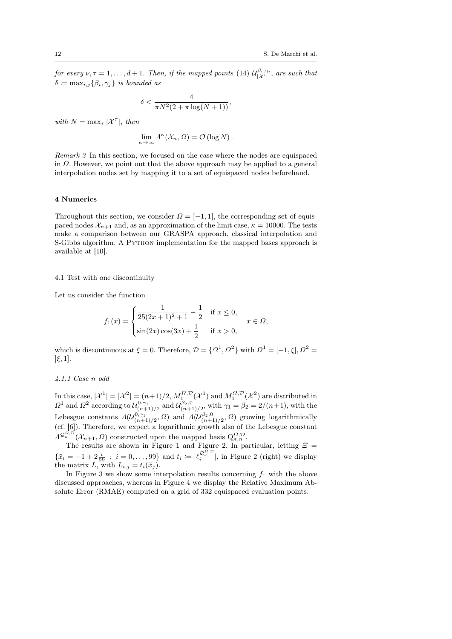for every  $\nu, \tau = 1, \ldots, d+1$ . Then, if the mapped points (14)  $\mathcal{U}_{|\mathcal{X}^i|}^{\beta_i, \gamma_i}$ , are such that  $\delta \coloneqq \max_{i,j} \{\beta_i, \gamma_j\}$  is bounded as

$$
\delta < \frac{4}{\pi N^2 (2 + \pi \log(N + 1))},
$$

with  $N = \max_{\tau} |\mathcal{X}^{\tau}|$ , then

$$
\lim_{\kappa \to \infty} \Lambda^{\kappa}(\mathcal{X}_n, \Omega) = \mathcal{O}(\log N).
$$

Remark 3 In this section, we focused on the case where the nodes are equispaced in  $\Omega$ . However, we point out that the above approach may be applied to a general interpolation nodes set by mapping it to a set of equispaced nodes beforehand.

## 4 Numerics

Throughout this section, we consider  $\Omega = [-1, 1]$ , the corresponding set of equispaced nodes  $\mathcal{X}_{n+1}$  and, as an approximation of the limit case,  $\kappa = 10000$ . The tests make a comparison between our GRASPA approach, classical interpolation and S-Gibbs algorithm. A Python implementation for the mapped bases approach is available at [10].

### 4.1 Test with one discontinuity

Let us consider the function

$$
f_1(x) = \begin{cases} \frac{1}{25(2x+1)^2 + 1} - \frac{1}{2} & \text{if } x \le 0, \\ \sin(2x)\cos(3x) + \frac{1}{2} & \text{if } x > 0, \end{cases}
$$

which is discontinuous at  $\xi = 0$ . Therefore,  $\mathcal{D} = {\Omega^1, \Omega^2}$  with  $\Omega^1 = [-1, \xi], \Omega^2 =$  $\left[\xi,1\right]$ .

#### 4.1.1 Case n odd

In this case,  $|\mathcal{X}^1| = |\mathcal{X}^2| = (n+1)/2$ ,  $M_1^{\Omega,\mathcal{D}}(\mathcal{X}^1)$  and  $M_1^{\Omega,\mathcal{D}}(\mathcal{X}^2)$  are distributed in  $\Omega^1$  and  $\Omega^2$  according to  $\mathcal{U}^{0,\gamma_1}_{(n+1)/2}$  and  $\mathcal{U}^{\beta_2,0}_{(n+1)/2}$ , with  $\gamma_1 = \beta_2 = 2/(n+1)$ , with the Lebesgue constants  $\Lambda(\mathcal{U}_{(n+1)/2}^{0,\gamma_1},\Omega)$  and  $\Lambda(\mathcal{U}_{(n+1)/2}^{\beta_2,0},\Omega)$  growing logarithmically (cf. [6]). Therefore, we expect a logarithmic growth also of the Lebesgue constant  $\Lambda^{\mathcal{Q}_\kappa^{Q, \mathcal{D}}}.(\mathcal{X}_{n+1}, \Omega)$  constructed upon the mapped basis  $Q_{\kappa,n}^{\Omega, \mathcal{D}}.$ 

The results are shown in Figure 1 and Figure 2. In particular, letting  $\Xi$  $\{\tilde{x}_i = -1 + 2\frac{i}{99} : i = 0,\ldots,99\}$  and  $t_i := |\ell_i^{\mathcal{Q}_\kappa^{\Omega,\mathcal{D}}}|$ , in Figure 2 (right) we display the matrix L, with  $L_{i,j} = t_i(\tilde{x}_j)$ .

In Figure 3 we show some interpolation results concerning  $f_1$  with the above discussed approaches, whereas in Figure 4 we display the Relative Maximum Absolute Error (RMAE) computed on a grid of 332 equispaced evaluation points.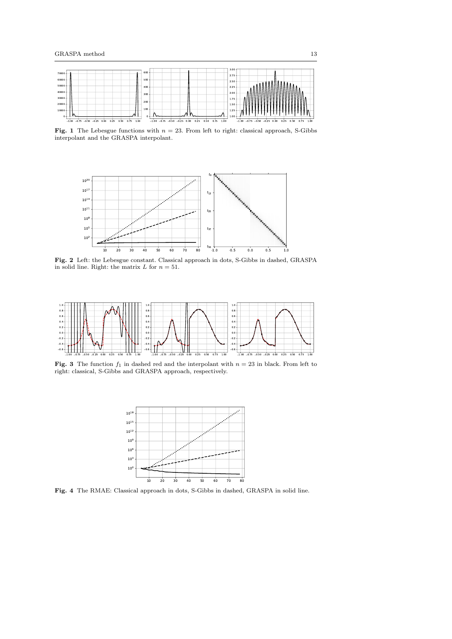

**Fig. 1** The Lebesgue functions with  $n = 23$ . From left to right: classical approach, S-Gibbs interpolant and the GRASPA interpolant.



Fig. 2 Left: the Lebesgue constant. Classical approach in dots, S-Gibbs in dashed, GRASPA in solid line. Right: the matrix L for  $n = 51$ .



**Fig. 3** The function  $f_1$  in dashed red and the interpolant with  $n = 23$  in black. From left to right: classical, S-Gibbs and GRASPA approach, respectively.



Fig. 4 The RMAE: Classical approach in dots, S-Gibbs in dashed, GRASPA in solid line.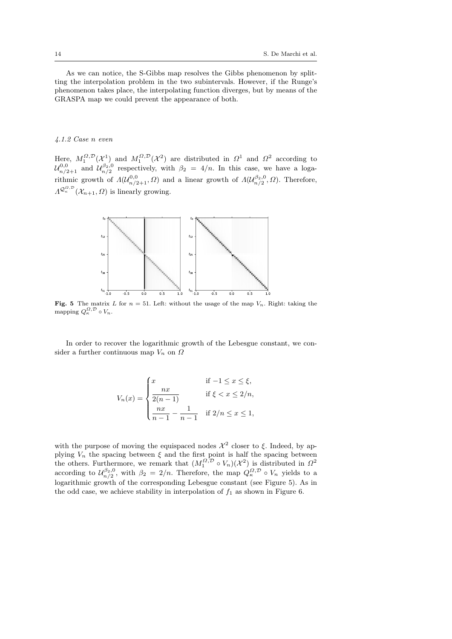As we can notice, the S-Gibbs map resolves the Gibbs phenomenon by splitting the interpolation problem in the two subintervals. However, if the Runge's phenomenon takes place, the interpolating function diverges, but by means of the GRASPA map we could prevent the appearance of both.

## 4.1.2 Case n even

Here,  $M_1^{\Omega,\mathcal{D}}(\mathcal{X}^1)$  and  $M_1^{\Omega,\mathcal{D}}(\mathcal{X}^2)$  are distributed in  $\Omega^1$  and  $\Omega^2$  according to  $\mathcal{U}_{n/2+1}^{0,0}$  and  $\mathcal{U}_{n/2}^{\beta_2,0}$  respectively, with  $\beta_2 = 4/n$ . In this case, we have a logarithmic growth of  $\Lambda(\mathcal{U}_{n/2+1}^{0,0}, \Omega)$  and a linear growth of  $\Lambda(\mathcal{U}_{n/2}^{\beta_2,0}, \Omega)$ . Therefore,  $\Lambda^{\mathcal{Q}_\kappa^{\Omega,\mathcal{D}}}(\mathcal{X}_{n+1},\Omega)$  is linearly growing.



**Fig. 5** The matrix L for  $n = 51$ . Left: without the usage of the map  $V_n$ . Right: taking the mapping  $Q_{\kappa}^{\Omega,\mathcal{D}} \circ V_n$ .

In order to recover the logarithmic growth of the Lebesgue constant, we consider a further continuous map  $V_n$  on  $\Omega$ 

$$
V_n(x) = \begin{cases} x & \text{if } -1 \le x \le \xi, \\ \frac{nx}{2(n-1)} & \text{if } \xi < x \le 2/n, \\ \frac{nx}{n-1} - \frac{1}{n-1} & \text{if } 2/n \le x \le 1, \end{cases}
$$

with the purpose of moving the equispaced nodes  $\mathcal{X}^2$  closer to  $\xi$ . Indeed, by applying  $V_n$  the spacing between  $\xi$  and the first point is half the spacing between the others. Furthermore, we remark that  $(M_1^{\Omega, \mathcal{D}} \circ V_n)(\mathcal{X}^2)$  is distributed in  $\Omega^2$ according to  $\mathcal{U}_{n/2}^{\beta_2,0}$ , with  $\beta_2 = 2/n$ . Therefore, the map  $Q_{\kappa}^{\Omega,\mathcal{D}} \circ V_n$  yields to a logarithmic growth of the corresponding Lebesgue constant (see Figure 5). As in the odd case, we achieve stability in interpolation of  $f_1$  as shown in Figure 6.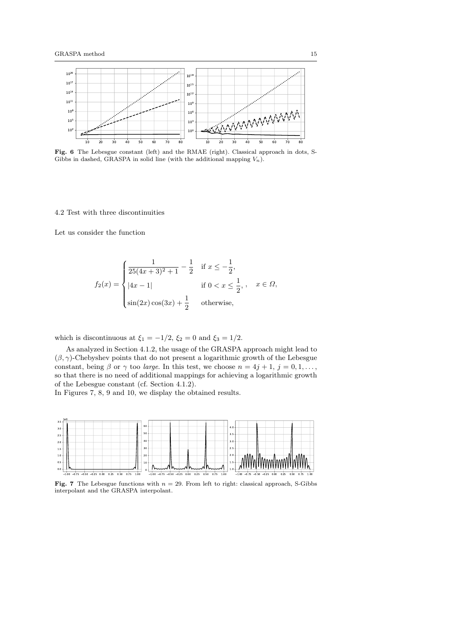

Fig. 6 The Lebesgue constant (left) and the RMAE (right). Classical approach in dots, S-Gibbs in dashed, GRASPA in solid line (with the additional mapping  $V_n$ ).

## 4.2 Test with three discontinuities

Let us consider the function

$$
f_2(x) = \begin{cases} \frac{1}{25(4x+3)^2+1} - \frac{1}{2} & \text{if } x \le -\frac{1}{2}, \\ |4x-1| & \text{if } 0 < x \le \frac{1}{2}, \\ \sin(2x)\cos(3x) + \frac{1}{2} & \text{otherwise,} \end{cases}
$$

which is discontinuous at  $\xi_1 = -1/2$ ,  $\xi_2 = 0$  and  $\xi_3 = 1/2$ .

As analyzed in Section 4.1.2, the usage of the GRASPA approach might lead to  $(\beta, \gamma)$ -Chebyshev points that do not present a logarithmic growth of the Lebesgue constant, being  $\beta$  or  $\gamma$  too *large*. In this test, we choose  $n = 4j + 1$ ,  $j = 0, 1, \ldots$ , so that there is no need of additional mappings for achieving a logarithmic growth of the Lebesgue constant (cf. Section 4.1.2).

In Figures 7, 8, 9 and 10, we display the obtained results.



Fig. 7 The Lebesgue functions with  $n = 29$ . From left to right: classical approach, S-Gibbs interpolant and the GRASPA interpolant.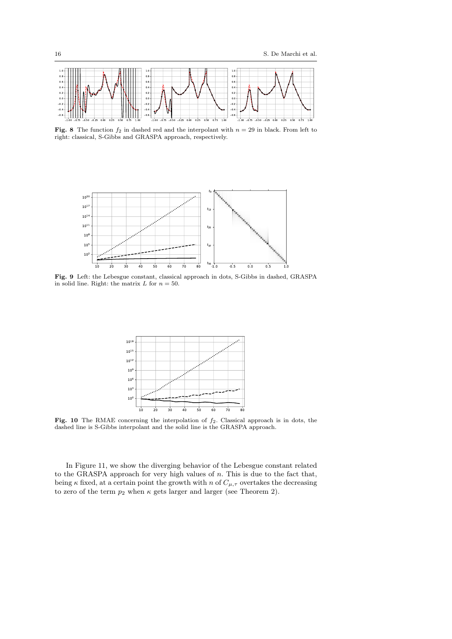

Fig. 8 The function  $f_2$  in dashed red and the interpolant with  $n = 29$  in black. From left to right: classical, S-Gibbs and GRASPA approach, respectively.



Fig. 9 Left: the Lebesgue constant, classical approach in dots, S-Gibbs in dashed, GRASPA in solid line. Right: the matrix L for  $n = 50$ .



Fig. 10 The RMAE concerning the interpolation of  $f_2$ . Classical approach is in dots, the dashed line is S-Gibbs interpolant and the solid line is the GRASPA approach.

In Figure 11, we show the diverging behavior of the Lebesgue constant related to the GRASPA approach for very high values of  $n$ . This is due to the fact that, being  $\kappa$  fixed, at a certain point the growth with  $n$  of  $C_{\mu,\tau}$  overtakes the decreasing to zero of the term  $p_2$  when  $\kappa$  gets larger and larger (see Theorem 2).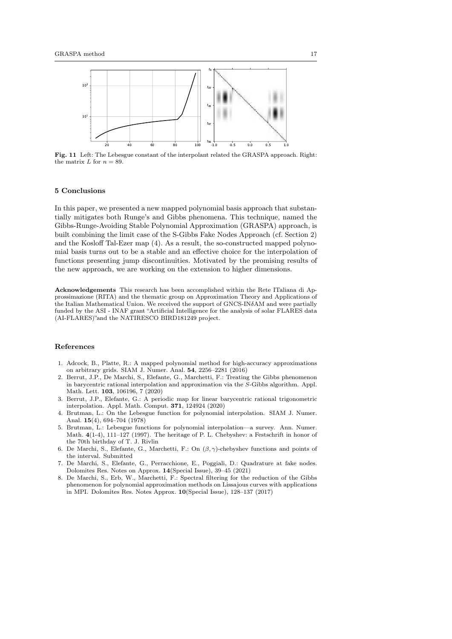

Fig. 11 Left: The Lebesgue constant of the interpolant related the GRASPA approach. Right: the matrix  $L$  for  $n = 89$ .

#### 5 Conclusions

In this paper, we presented a new mapped polynomial basis approach that substantially mitigates both Runge's and Gibbs phenomena. This technique, named the Gibbs-Runge-Avoiding Stable Polynomial Approximation (GRASPA) approach, is built combining the limit case of the S-Gibbs Fake Nodes Approach (cf. Section 2) and the Kosloff Tal-Ezer map (4). As a result, the so-constructed mapped polynomial basis turns out to be a stable and an effective choice for the interpolation of functions presenting jump discontinuities. Motivated by the promising results of the new approach, we are working on the extension to higher dimensions.

Acknowledgements This research has been accomplished within the Rete ITaliana di Approssimazione (RITA) and the thematic group on Approximation Theory and Applications of the Italian Mathematical Union. We received the support of GNCS-IN $\delta$ AM and were partially funded by the ASI - INAF grant "Artificial Intelligence for the analysis of solar FLARES data (AI-FLARES)"and the NATIRESCO BIRD181249 project.

## References

- 1. Adcock, B., Platte, R.: A mapped polynomial method for high-accuracy approximations on arbitrary grids. SIAM J. Numer. Anal. 54, 2256–2281 (2016)
- 2. Berrut, J.P., De Marchi, S., Elefante, G., Marchetti, F.: Treating the Gibbs phenomenon in barycentric rational interpolation and approximation via the S-Gibbs algorithm. Appl. Math. Lett. 103, 106196, 7 (2020)
- 3. Berrut, J.P., Elefante, G.: A periodic map for linear barycentric rational trigonometric interpolation. Appl. Math. Comput. 371, 124924 (2020)
- 4. Brutman, L.: On the Lebesgue function for polynomial interpolation. SIAM J. Numer. Anal. 15(4), 694–704 (1978)
- 5. Brutman, L.: Lebesgue functions for polynomial interpolation—a survey. Ann. Numer. Math. 4(1-4), 111–127 (1997). The heritage of P. L. Chebyshev: a Festschrift in honor of the 70th birthday of T. J. Rivlin
- 6. De Marchi, S., Elefante, G., Marchetti, F.: On  $(\beta, \gamma)$ -chebyshev functions and points of the interval. Submitted
- 7. De Marchi, S., Elefante, G., Perracchione, E., Poggiali, D.: Quadrature at fake nodes. Dolomites Res. Notes on Approx. 14(Special Issue), 39–45 (2021)
- 8. De Marchi, S., Erb, W., Marchetti, F.: Spectral filtering for the reduction of the Gibbs phenomenon for polynomial approximation methods on Lissajous curves with applications in MPI. Dolomites Res. Notes Approx. 10(Special Issue), 128–137 (2017)